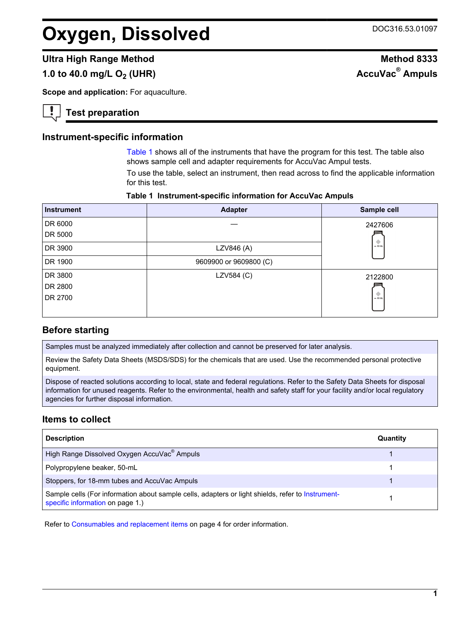# **Oxygen, Dissolved** DOC316.53.01097

## **Ultra High Range Method Method 8333**

## **1.0 to 40.0 mg/L O<sub>2</sub> (UHR)**

**Scope and application: For aquaculture.** 

## **Test preparation**

#### **Instrument-specific information**

[Table 1](#page-0-0) shows all of the instruments that have the program for this test. The table also shows sample cell and adapter requirements for AccuVac Ampul tests.

To use the table, select an instrument, then read across to find the applicable information for this test.

#### **Table 1 Instrument-specific information for AccuVac Ampuls**

<span id="page-0-1"></span><span id="page-0-0"></span>

| <b>Instrument</b> | <b>Adapter</b>         | Sample cell |
|-------------------|------------------------|-------------|
| DR 6000           |                        | 2427606     |
| DR 5000           |                        |             |
| DR 3900           | LZV846 (A)             | $-10$ mL    |
| DR 1900           | 9609900 or 9609800 (C) |             |
| DR 3800           | LZV584 (C)             | 2122800     |
| DR 2800           |                        |             |
| DR 2700           |                        | $-10$ mL    |

#### **Before starting**

Samples must be analyzed immediately after collection and cannot be preserved for later analysis.

Review the Safety Data Sheets (MSDS/SDS) for the chemicals that are used. Use the recommended personal protective equipment.

Dispose of reacted solutions according to local, state and federal regulations. Refer to the Safety Data Sheets for disposal information for unused reagents. Refer to the environmental, health and safety staff for your facility and/or local regulatory agencies for further disposal information.

### **Items to collect**

| <b>Description</b>                                                                                                                    | Quantity |
|---------------------------------------------------------------------------------------------------------------------------------------|----------|
| High Range Dissolved Oxygen AccuVac <sup>®</sup> Ampuls                                                                               |          |
| Polypropylene beaker, 50-mL                                                                                                           |          |
| Stoppers, for 18-mm tubes and AccuVac Ampuls                                                                                          |          |
| Sample cells (For information about sample cells, adapters or light shields, refer to Instrument-<br>specific information on page 1.) |          |

Refer to [Consumables and replacement items](#page-3-0) on page 4 for order information.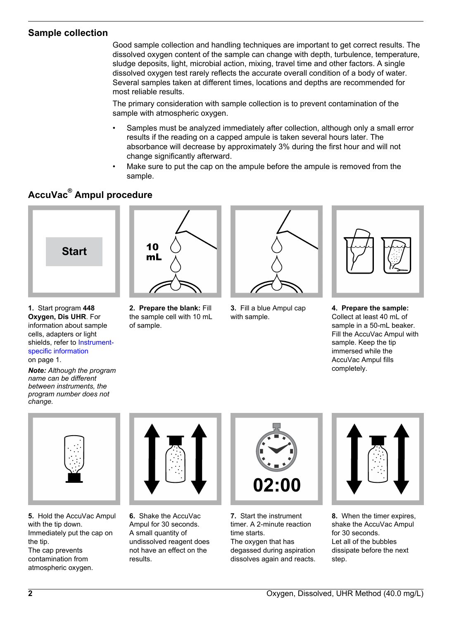## **Sample collection**

Good sample collection and handling techniques are important to get correct results. The dissolved oxygen content of the sample can change with depth, turbulence, temperature, sludge deposits, light, microbial action, mixing, travel time and other factors. A single dissolved oxygen test rarely reflects the accurate overall condition of a body of water. Several samples taken at different times, locations and depths are recommended for most reliable results.

The primary consideration with sample collection is to prevent contamination of the sample with atmospheric oxygen.

- Samples must be analyzed immediately after collection, although only a small error results if the reading on a capped ampule is taken several hours later. The absorbance will decrease by approximately 3% during the first hour and will not change significantly afterward.
- Make sure to put the cap on the ampule before the ampule is removed from the sample.

## **AccuVac® Ampul procedure**



- **1.** Start program **448 Oxygen, Dis UHR**. For information about sample cells, adapters or light shields, refer to [Instrument](#page-0-1)[specific information](#page-0-1) on page 1.
- *Note: Although the program name can be different between instruments, the program number does not change.*



**2. Prepare the blank:** Fill the sample cell with 10 mL of sample.



**3.** Fill a blue Ampul cap with sample.



**4. Prepare the sample:** Collect at least 40 mL of sample in a 50-mL beaker. Fill the AccuVac Ampul with sample. Keep the tip immersed while the AccuVac Ampul fills completely.



**5.** Hold the AccuVac Ampul with the tip down. Immediately put the cap on the tip. The cap prevents contamination from atmospheric oxygen.



**6.** Shake the AccuVac Ampul for 30 seconds. A small quantity of undissolved reagent does not have an effect on the results.



**7.** Start the instrument timer. A 2-minute reaction time starts. The oxygen that has degassed during aspiration dissolves again and reacts.



**8.** When the timer expires, shake the AccuVac Ampul for 30 seconds. Let all of the bubbles dissipate before the next step.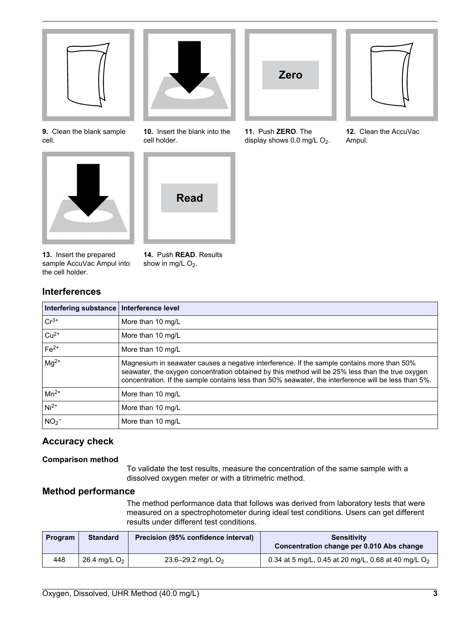

**9.** Clean the blank sample cell.



**13.** Insert the prepared sample AccuVac Ampul into the cell holder.

**14.** Push **READ**. Results show in mg/L  $O_2$ .

## **Interferences**

| Interfering substance   Interference level |                                                                                                                                                                                                                                                                                                        |
|--------------------------------------------|--------------------------------------------------------------------------------------------------------------------------------------------------------------------------------------------------------------------------------------------------------------------------------------------------------|
| $Cr^{3+}$                                  | More than 10 mg/L                                                                                                                                                                                                                                                                                      |
| $ Cu^{2+}$                                 | More than 10 mg/L                                                                                                                                                                                                                                                                                      |
| $Fe2+$                                     | More than 10 mg/L                                                                                                                                                                                                                                                                                      |
| $mg^{2+}$                                  | Magnesium in seawater causes a negative interference. If the sample contains more than 50%<br>seawater, the oxygen concentration obtained by this method will be 25% less than the true oxygen<br>concentration. If the sample contains less than 50% seawater, the interference will be less than 5%. |
| $\vert$ Mn <sup>2+</sup>                   | More than 10 mg/L                                                                                                                                                                                                                                                                                      |
| $Ni2+$                                     | More than 10 mg/L                                                                                                                                                                                                                                                                                      |
| NO <sub>2</sub>                            | More than 10 mg/L                                                                                                                                                                                                                                                                                      |

## **Accuracy check**

### **Comparison method**

To validate the test results, measure the concentration of the same sample with a dissolved oxygen meter or with a titrimetric method.

### **Method performance**

The method performance data that follows was derived from laboratory tests that were measured on a spectrophotometer during ideal test conditions. Users can get different results under different test conditions.

| Program | <b>Standard</b> | Precision (95% confidence interval) | <b>Sensitivity</b><br>Concentration change per 0.010 Abs change |
|---------|-----------------|-------------------------------------|-----------------------------------------------------------------|
| 448     | 26.4 mg/L $O2$  | 23.6–29.2 mg/L $O2$                 | 0.34 at 5 mg/L, 0.45 at 20 mg/L, 0.68 at 40 mg/L O <sub>2</sub> |



**10.** Insert the blank into the cell holder.





**11.** Push **ZERO**. The display shows  $0.0$  mg/L  $O<sub>2</sub>$ .



**12.** Clean the AccuVac Ampul.